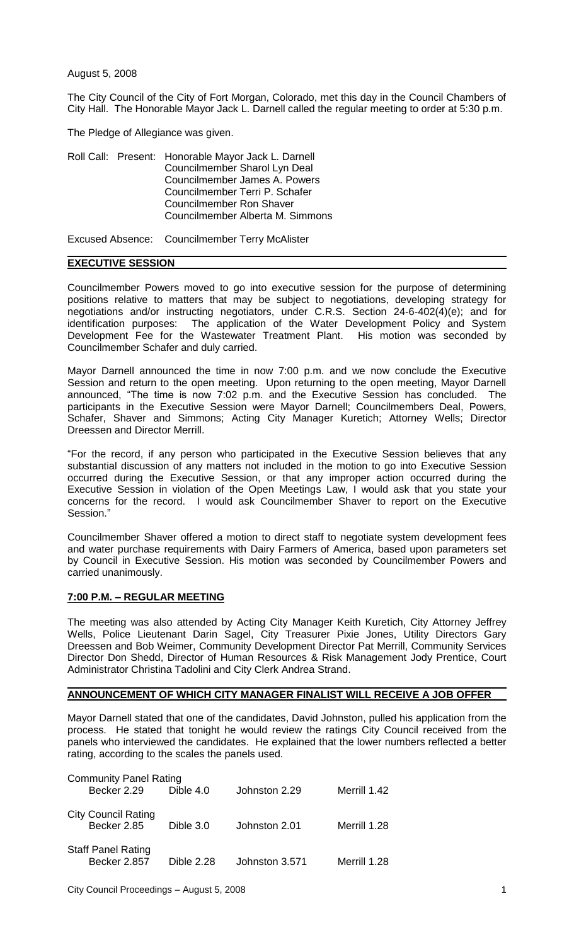August 5, 2008

The City Council of the City of Fort Morgan, Colorado, met this day in the Council Chambers of City Hall. The Honorable Mayor Jack L. Darnell called the regular meeting to order at 5:30 p.m.

The Pledge of Allegiance was given.

Roll Call: Present: Honorable Mayor Jack L. Darnell Councilmember Sharol Lyn Deal Councilmember James A. Powers Councilmember Terri P. Schafer Councilmember Ron Shaver Councilmember Alberta M. Simmons

Excused Absence: Councilmember Terry McAlister

## **EXECUTIVE SESSION**

Councilmember Powers moved to go into executive session for the purpose of determining positions relative to matters that may be subject to negotiations, developing strategy for negotiations and/or instructing negotiators, under C.R.S. Section 24-6-402(4)(e); and for identification purposes: The application of the Water Development Policy and System Development Fee for the Wastewater Treatment Plant. His motion was seconded by Councilmember Schafer and duly carried.

Mayor Darnell announced the time in now 7:00 p.m. and we now conclude the Executive Session and return to the open meeting. Upon returning to the open meeting, Mayor Darnell announced, "The time is now 7:02 p.m. and the Executive Session has concluded. The participants in the Executive Session were Mayor Darnell; Councilmembers Deal, Powers, Schafer, Shaver and Simmons; Acting City Manager Kuretich; Attorney Wells; Director Dreessen and Director Merrill.

"For the record, if any person who participated in the Executive Session believes that any substantial discussion of any matters not included in the motion to go into Executive Session occurred during the Executive Session, or that any improper action occurred during the Executive Session in violation of the Open Meetings Law, I would ask that you state your concerns for the record. I would ask Councilmember Shaver to report on the Executive Session."

Councilmember Shaver offered a motion to direct staff to negotiate system development fees and water purchase requirements with Dairy Farmers of America, based upon parameters set by Council in Executive Session. His motion was seconded by Councilmember Powers and carried unanimously.

### **7:00 P.M. – REGULAR MEETING**

The meeting was also attended by Acting City Manager Keith Kuretich, City Attorney Jeffrey Wells, Police Lieutenant Darin Sagel, City Treasurer Pixie Jones, Utility Directors Gary Dreessen and Bob Weimer, Community Development Director Pat Merrill, Community Services Director Don Shedd, Director of Human Resources & Risk Management Jody Prentice, Court Administrator Christina Tadolini and City Clerk Andrea Strand.

# **ANNOUNCEMENT OF WHICH CITY MANAGER FINALIST WILL RECEIVE A JOB OFFER**

Mayor Darnell stated that one of the candidates, David Johnston, pulled his application from the process. He stated that tonight he would review the ratings City Council received from the panels who interviewed the candidates. He explained that the lower numbers reflected a better rating, according to the scales the panels used.

| <b>Community Panel Rating</b> |                            |                   |                |              |
|-------------------------------|----------------------------|-------------------|----------------|--------------|
|                               | Becker 2.29                | Dible 4.0         | Johnston 2.29  | Merrill 1.42 |
|                               |                            |                   |                |              |
|                               | <b>City Council Rating</b> |                   |                |              |
|                               | Becker 2.85                | Dible 3.0         | Johnston 2.01  | Merrill 1.28 |
|                               |                            |                   |                |              |
|                               | <b>Staff Panel Rating</b>  |                   |                |              |
|                               | <b>Becker 2.857</b>        | <b>Dible 2.28</b> | Johnston 3.571 | Merrill 1.28 |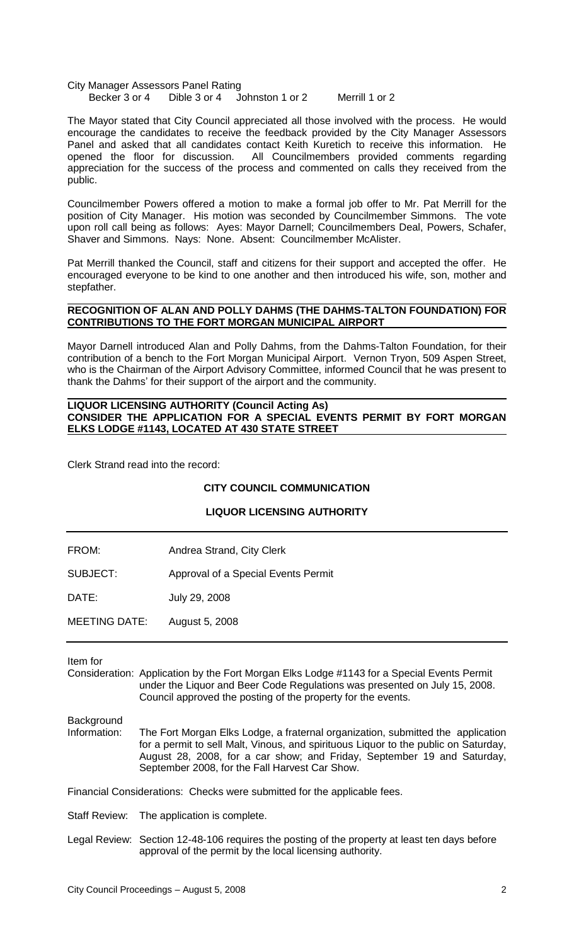City Manager Assessors Panel Rating<br>Becker 3 or 4 Dible 3 or 4 Jo Becker 3 or 4 Dible 3 or 4 Johnston 1 or 2 Merrill 1 or 2

The Mayor stated that City Council appreciated all those involved with the process. He would encourage the candidates to receive the feedback provided by the City Manager Assessors Panel and asked that all candidates contact Keith Kuretich to receive this information. He opened the floor for discussion. All Councilmembers provided comments regarding appreciation for the success of the process and commented on calls they received from the public.

Councilmember Powers offered a motion to make a formal job offer to Mr. Pat Merrill for the position of City Manager. His motion was seconded by Councilmember Simmons. The vote upon roll call being as follows: Ayes: Mayor Darnell; Councilmembers Deal, Powers, Schafer, Shaver and Simmons. Nays: None. Absent: Councilmember McAlister.

Pat Merrill thanked the Council, staff and citizens for their support and accepted the offer. He encouraged everyone to be kind to one another and then introduced his wife, son, mother and stepfather.

## **RECOGNITION OF ALAN AND POLLY DAHMS (THE DAHMS-TALTON FOUNDATION) FOR CONTRIBUTIONS TO THE FORT MORGAN MUNICIPAL AIRPORT**

Mayor Darnell introduced Alan and Polly Dahms, from the Dahms-Talton Foundation, for their contribution of a bench to the Fort Morgan Municipal Airport. Vernon Tryon, 509 Aspen Street, who is the Chairman of the Airport Advisory Committee, informed Council that he was present to thank the Dahms' for their support of the airport and the community.

## **LIQUOR LICENSING AUTHORITY (Council Acting As) CONSIDER THE APPLICATION FOR A SPECIAL EVENTS PERMIT BY FORT MORGAN ELKS LODGE #1143, LOCATED AT 430 STATE STREET**

Clerk Strand read into the record:

# **CITY COUNCIL COMMUNICATION**

### **LIQUOR LICENSING AUTHORITY**

| FROM:                | Andrea Strand, City Clerk           |
|----------------------|-------------------------------------|
| SUBJECT:             | Approval of a Special Events Permit |
| DATE:                | July 29, 2008                       |
| <b>MEETING DATE:</b> | August 5, 2008                      |

Item for

Consideration: Application by the Fort Morgan Elks Lodge #1143 for a Special Events Permit under the Liquor and Beer Code Regulations was presented on July 15, 2008. Council approved the posting of the property for the events.

Background<br>Information:

The Fort Morgan Elks Lodge, a fraternal organization, submitted the application for a permit to sell Malt, Vinous, and spirituous Liquor to the public on Saturday, August 28, 2008, for a car show; and Friday, September 19 and Saturday, September 2008, for the Fall Harvest Car Show.

Financial Considerations: Checks were submitted for the applicable fees.

Staff Review: The application is complete.

Legal Review: Section 12-48-106 requires the posting of the property at least ten days before approval of the permit by the local licensing authority.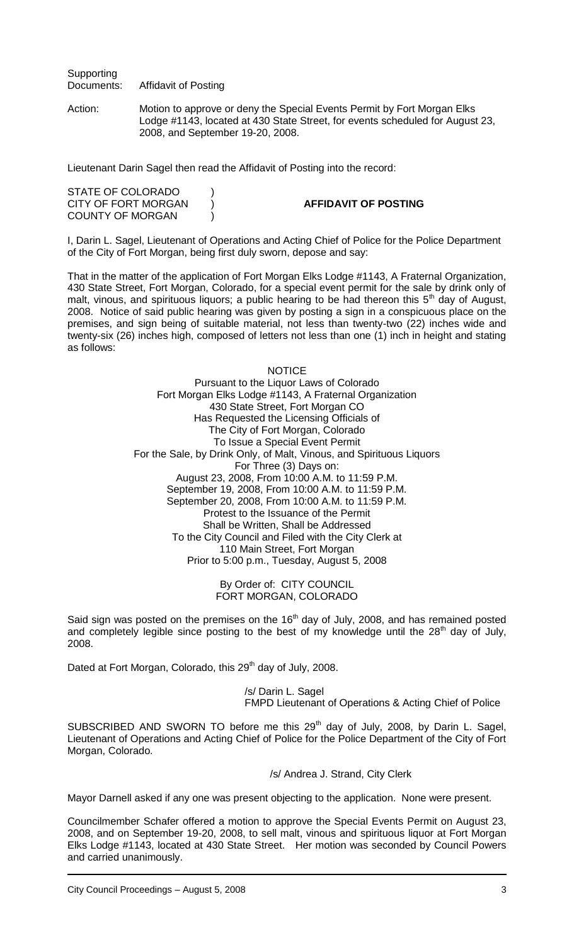**Supporting** Documents: Affidavit of Posting

Action: Motion to approve or deny the Special Events Permit by Fort Morgan Elks Lodge #1143, located at 430 State Street, for events scheduled for August 23, 2008, and September 19-20, 2008.

Lieutenant Darin Sagel then read the Affidavit of Posting into the record:

| STATE OF COLORADO   |                             |
|---------------------|-----------------------------|
| CITY OF FORT MORGAN | <b>AFFIDAVIT OF POSTING</b> |
| COUNTY OF MORGAN    |                             |

I, Darin L. Sagel, Lieutenant of Operations and Acting Chief of Police for the Police Department of the City of Fort Morgan, being first duly sworn, depose and say:

That in the matter of the application of Fort Morgan Elks Lodge #1143, A Fraternal Organization, 430 State Street, Fort Morgan, Colorado, for a special event permit for the sale by drink only of malt, vinous, and spirituous liquors; a public hearing to be had thereon this  $5<sup>th</sup>$  day of August, 2008. Notice of said public hearing was given by posting a sign in a conspicuous place on the premises, and sign being of suitable material, not less than twenty-two (22) inches wide and twenty-six (26) inches high, composed of letters not less than one (1) inch in height and stating as follows:

> **NOTICE** Pursuant to the Liquor Laws of Colorado Fort Morgan Elks Lodge #1143, A Fraternal Organization 430 State Street, Fort Morgan CO Has Requested the Licensing Officials of The City of Fort Morgan, Colorado To Issue a Special Event Permit For the Sale, by Drink Only, of Malt, Vinous, and Spirituous Liquors For Three (3) Days on: August 23, 2008, From 10:00 A.M. to 11:59 P.M. September 19, 2008, From 10:00 A.M. to 11:59 P.M. September 20, 2008, From 10:00 A.M. to 11:59 P.M. Protest to the Issuance of the Permit Shall be Written, Shall be Addressed To the City Council and Filed with the City Clerk at 110 Main Street, Fort Morgan Prior to 5:00 p.m., Tuesday, August 5, 2008

> > By Order of: CITY COUNCIL FORT MORGAN, COLORADO

Said sign was posted on the premises on the 16<sup>th</sup> day of July, 2008, and has remained posted and completely legible since posting to the best of my knowledge until the  $28<sup>th</sup>$  day of July, 2008.

Dated at Fort Morgan, Colorado, this 29<sup>th</sup> day of July, 2008.

/s/ Darin L. Sagel FMPD Lieutenant of Operations & Acting Chief of Police

SUBSCRIBED AND SWORN TO before me this 29<sup>th</sup> day of July, 2008, by Darin L. Sagel, Lieutenant of Operations and Acting Chief of Police for the Police Department of the City of Fort Morgan, Colorado.

/s/ Andrea J. Strand, City Clerk

Mayor Darnell asked if any one was present objecting to the application. None were present.

Councilmember Schafer offered a motion to approve the Special Events Permit on August 23, 2008, and on September 19-20, 2008, to sell malt, vinous and spirituous liquor at Fort Morgan Elks Lodge #1143, located at 430 State Street. Her motion was seconded by Council Powers and carried unanimously.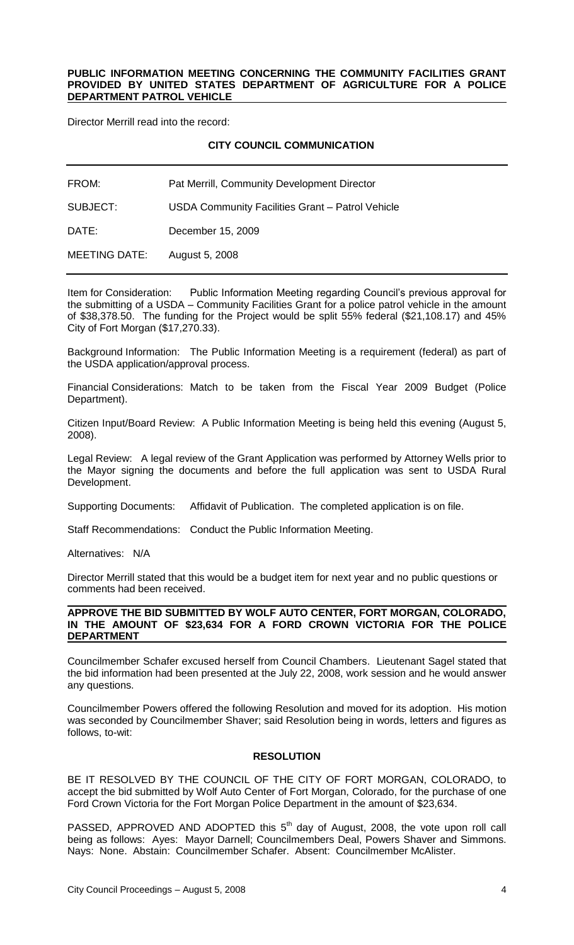#### **PUBLIC INFORMATION MEETING CONCERNING THE COMMUNITY FACILITIES GRANT PROVIDED BY UNITED STATES DEPARTMENT OF AGRICULTURE FOR A POLICE DEPARTMENT PATROL VEHICLE**

Director Merrill read into the record:

## **CITY COUNCIL COMMUNICATION**

| FROM:                | Pat Merrill, Community Development Director      |
|----------------------|--------------------------------------------------|
| SUBJECT:             | USDA Community Facilities Grant - Patrol Vehicle |
| DATE:                | December 15, 2009                                |
| <b>MEETING DATE:</b> | August 5, 2008                                   |

Item for Consideration: Public Information Meeting regarding Council's previous approval for the submitting of a USDA – Community Facilities Grant for a police patrol vehicle in the amount of \$38,378.50. The funding for the Project would be split 55% federal (\$21,108.17) and 45% City of Fort Morgan (\$17,270.33).

Background Information: The Public Information Meeting is a requirement (federal) as part of the USDA application/approval process.

Financial Considerations: Match to be taken from the Fiscal Year 2009 Budget (Police Department).

Citizen Input/Board Review: A Public Information Meeting is being held this evening (August 5, 2008).

Legal Review: A legal review of the Grant Application was performed by Attorney Wells prior to the Mayor signing the documents and before the full application was sent to USDA Rural Development.

Supporting Documents: Affidavit of Publication. The completed application is on file.

Staff Recommendations: Conduct the Public Information Meeting.

Alternatives: N/A

Director Merrill stated that this would be a budget item for next year and no public questions or comments had been received.

## **APPROVE THE BID SUBMITTED BY WOLF AUTO CENTER, FORT MORGAN, COLORADO, IN THE AMOUNT OF \$23,634 FOR A FORD CROWN VICTORIA FOR THE POLICE DEPARTMENT**

Councilmember Schafer excused herself from Council Chambers. Lieutenant Sagel stated that the bid information had been presented at the July 22, 2008, work session and he would answer any questions.

Councilmember Powers offered the following Resolution and moved for its adoption. His motion was seconded by Councilmember Shaver; said Resolution being in words, letters and figures as follows, to-wit:

# **RESOLUTION**

BE IT RESOLVED BY THE COUNCIL OF THE CITY OF FORT MORGAN, COLORADO, to accept the bid submitted by Wolf Auto Center of Fort Morgan, Colorado, for the purchase of one Ford Crown Victoria for the Fort Morgan Police Department in the amount of \$23,634.

PASSED, APPROVED AND ADOPTED this  $5<sup>th</sup>$  day of August, 2008, the vote upon roll call being as follows: Ayes: Mayor Darnell; Councilmembers Deal, Powers Shaver and Simmons. Nays: None. Abstain: Councilmember Schafer. Absent: Councilmember McAlister.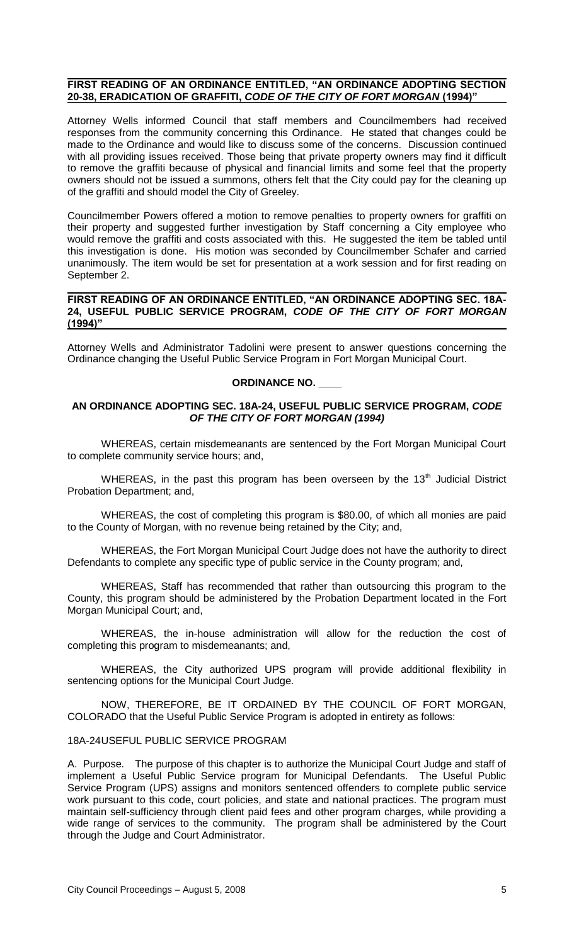## **FIRST READING OF AN ORDINANCE ENTITLED, "AN ORDINANCE ADOPTING SECTION 20-38, ERADICATION OF GRAFFITI,** *CODE OF THE CITY OF FORT MORGAN* **(1994)"**

Attorney Wells informed Council that staff members and Councilmembers had received responses from the community concerning this Ordinance. He stated that changes could be made to the Ordinance and would like to discuss some of the concerns. Discussion continued with all providing issues received. Those being that private property owners may find it difficult to remove the graffiti because of physical and financial limits and some feel that the property owners should not be issued a summons, others felt that the City could pay for the cleaning up of the graffiti and should model the City of Greeley.

Councilmember Powers offered a motion to remove penalties to property owners for graffiti on their property and suggested further investigation by Staff concerning a City employee who would remove the graffiti and costs associated with this. He suggested the item be tabled until this investigation is done. His motion was seconded by Councilmember Schafer and carried unanimously. The item would be set for presentation at a work session and for first reading on September 2.

## **FIRST READING OF AN ORDINANCE ENTITLED, "AN ORDINANCE ADOPTING SEC. 18A-24, USEFUL PUBLIC SERVICE PROGRAM,** *CODE OF THE CITY OF FORT MORGAN* **(1994)"**

Attorney Wells and Administrator Tadolini were present to answer questions concerning the Ordinance changing the Useful Public Service Program in Fort Morgan Municipal Court.

# **ORDINANCE NO. \_\_\_\_**

## **AN ORDINANCE ADOPTING SEC. 18A-24, USEFUL PUBLIC SERVICE PROGRAM,** *CODE OF THE CITY OF FORT MORGAN (1994)*

WHEREAS, certain misdemeanants are sentenced by the Fort Morgan Municipal Court to complete community service hours; and,

WHEREAS, in the past this program has been overseen by the  $13<sup>th</sup>$  Judicial District Probation Department; and,

WHEREAS, the cost of completing this program is \$80.00, of which all monies are paid to the County of Morgan, with no revenue being retained by the City; and,

WHEREAS, the Fort Morgan Municipal Court Judge does not have the authority to direct Defendants to complete any specific type of public service in the County program; and,

WHEREAS, Staff has recommended that rather than outsourcing this program to the County, this program should be administered by the Probation Department located in the Fort Morgan Municipal Court; and,

WHEREAS, the in-house administration will allow for the reduction the cost of completing this program to misdemeanants; and,

WHEREAS, the City authorized UPS program will provide additional flexibility in sentencing options for the Municipal Court Judge.

NOW, THEREFORE, BE IT ORDAINED BY THE COUNCIL OF FORT MORGAN, COLORADO that the Useful Public Service Program is adopted in entirety as follows:

## 18A-24USEFUL PUBLIC SERVICE PROGRAM

A. Purpose. The purpose of this chapter is to authorize the Municipal Court Judge and staff of implement a Useful Public Service program for Municipal Defendants. The Useful Public Service Program (UPS) assigns and monitors sentenced offenders to complete public service work pursuant to this code, court policies, and state and national practices. The program must maintain self-sufficiency through client paid fees and other program charges, while providing a wide range of services to the community. The program shall be administered by the Court through the Judge and Court Administrator.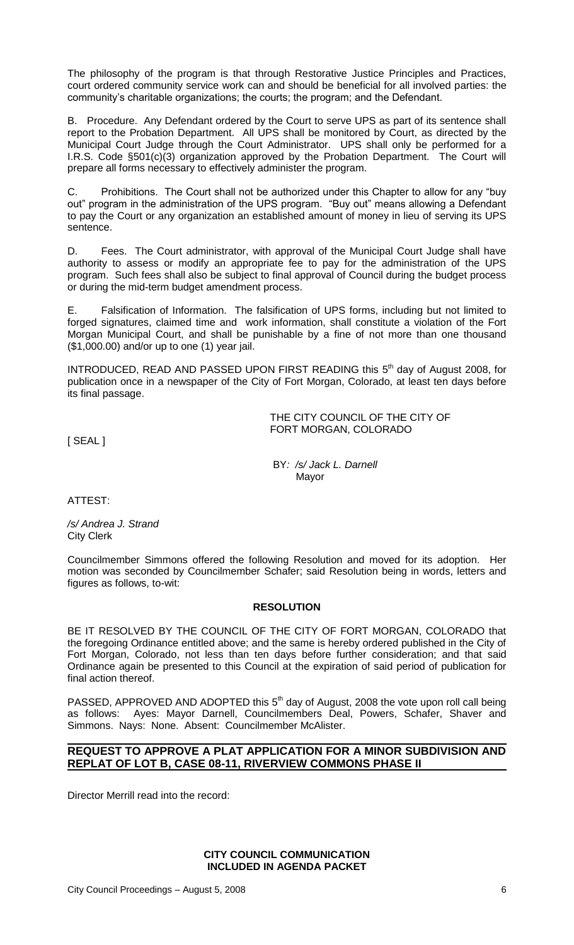The philosophy of the program is that through Restorative Justice Principles and Practices, court ordered community service work can and should be beneficial for all involved parties: the community's charitable organizations; the courts; the program; and the Defendant.

B. Procedure. Any Defendant ordered by the Court to serve UPS as part of its sentence shall report to the Probation Department. All UPS shall be monitored by Court, as directed by the Municipal Court Judge through the Court Administrator. UPS shall only be performed for a I.R.S. Code §501(c)(3) organization approved by the Probation Department. The Court will prepare all forms necessary to effectively administer the program.

C. Prohibitions. The Court shall not be authorized under this Chapter to allow for any "buy out" program in the administration of the UPS program. "Buy out" means allowing a Defendant to pay the Court or any organization an established amount of money in lieu of serving its UPS sentence.

D. Fees. The Court administrator, with approval of the Municipal Court Judge shall have authority to assess or modify an appropriate fee to pay for the administration of the UPS program. Such fees shall also be subject to final approval of Council during the budget process or during the mid-term budget amendment process.

E. Falsification of Information. The falsification of UPS forms, including but not limited to forged signatures, claimed time and work information, shall constitute a violation of the Fort Morgan Municipal Court, and shall be punishable by a fine of not more than one thousand (\$1,000.00) and/or up to one (1) year jail.

INTRODUCED, READ AND PASSED UPON FIRST READING this  $5<sup>th</sup>$  day of August 2008, for publication once in a newspaper of the City of Fort Morgan, Colorado, at least ten days before its final passage.

> THE CITY COUNCIL OF THE CITY OF FORT MORGAN, COLORADO

[ SEAL ]

BY*: /s/ Jack L. Darnell* Mayor

ATTEST:

*/s/ Andrea J. Strand* City Clerk

Councilmember Simmons offered the following Resolution and moved for its adoption. Her motion was seconded by Councilmember Schafer; said Resolution being in words, letters and figures as follows, to-wit:

# **RESOLUTION**

BE IT RESOLVED BY THE COUNCIL OF THE CITY OF FORT MORGAN, COLORADO that the foregoing Ordinance entitled above; and the same is hereby ordered published in the City of Fort Morgan, Colorado, not less than ten days before further consideration; and that said Ordinance again be presented to this Council at the expiration of said period of publication for final action thereof.

PASSED, APPROVED AND ADOPTED this 5<sup>th</sup> day of August, 2008 the vote upon roll call being as follows: Ayes: Mayor Darnell, Councilmembers Deal, Powers, Schafer, Shaver and Simmons. Nays: None. Absent: Councilmember McAlister.

# **REQUEST TO APPROVE A PLAT APPLICATION FOR A MINOR SUBDIVISION AND REPLAT OF LOT B, CASE 08-11, RIVERVIEW COMMONS PHASE II**

Director Merrill read into the record:

# **CITY COUNCIL COMMUNICATION INCLUDED IN AGENDA PACKET**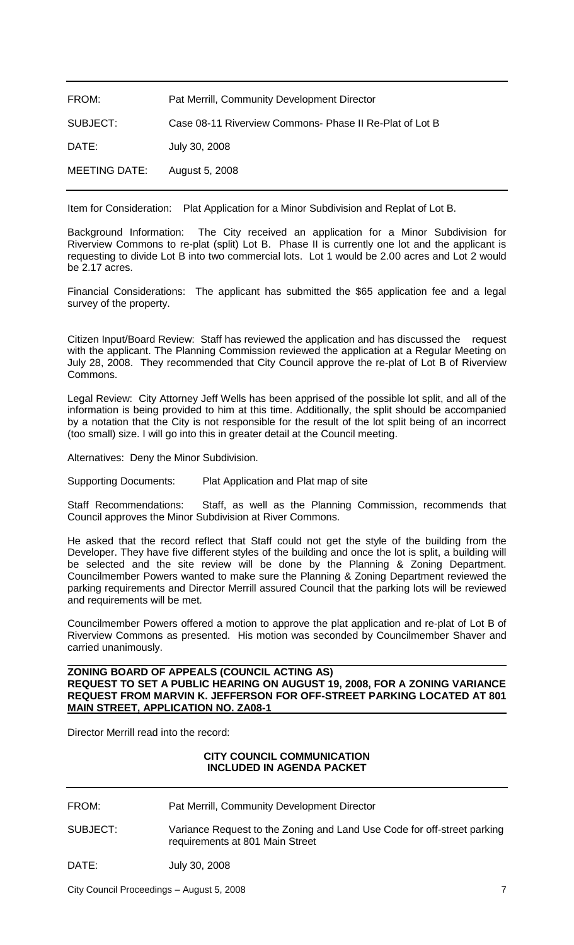| FROM:                | Pat Merrill, Community Development Director             |
|----------------------|---------------------------------------------------------|
| SUBJECT:             | Case 08-11 Riverview Commons- Phase II Re-Plat of Lot B |
| DATE:                | July 30, 2008                                           |
| <b>MEETING DATE:</b> | August 5, 2008                                          |

Item for Consideration: Plat Application for a Minor Subdivision and Replat of Lot B.

Background Information: The City received an application for a Minor Subdivision for Riverview Commons to re-plat (split) Lot B. Phase II is currently one lot and the applicant is requesting to divide Lot B into two commercial lots. Lot 1 would be 2.00 acres and Lot 2 would be 2.17 acres.

Financial Considerations: The applicant has submitted the \$65 application fee and a legal survey of the property.

Citizen Input/Board Review: Staff has reviewed the application and has discussed the request with the applicant. The Planning Commission reviewed the application at a Regular Meeting on July 28, 2008. They recommended that City Council approve the re-plat of Lot B of Riverview Commons.

Legal Review: City Attorney Jeff Wells has been apprised of the possible lot split, and all of the information is being provided to him at this time. Additionally, the split should be accompanied by a notation that the City is not responsible for the result of the lot split being of an incorrect (too small) size. I will go into this in greater detail at the Council meeting.

Alternatives: Deny the Minor Subdivision.

Supporting Documents: Plat Application and Plat map of site

Staff Recommendations: Staff, as well as the Planning Commission, recommends that Council approves the Minor Subdivision at River Commons.

He asked that the record reflect that Staff could not get the style of the building from the Developer. They have five different styles of the building and once the lot is split, a building will be selected and the site review will be done by the Planning & Zoning Department. Councilmember Powers wanted to make sure the Planning & Zoning Department reviewed the parking requirements and Director Merrill assured Council that the parking lots will be reviewed and requirements will be met.

Councilmember Powers offered a motion to approve the plat application and re-plat of Lot B of Riverview Commons as presented. His motion was seconded by Councilmember Shaver and carried unanimously.

**ZONING BOARD OF APPEALS (COUNCIL ACTING AS) REQUEST TO SET A PUBLIC HEARING ON AUGUST 19, 2008, FOR A ZONING VARIANCE REQUEST FROM MARVIN K. JEFFERSON FOR OFF-STREET PARKING LOCATED AT 801 MAIN STREET, APPLICATION NO. ZA08-1**

Director Merrill read into the record:

## **CITY COUNCIL COMMUNICATION INCLUDED IN AGENDA PACKET**

FROM: Pat Merrill, Community Development Director

SUBJECT: Variance Request to the Zoning and Land Use Code for off-street parking requirements at 801 Main Street

DATE: July 30, 2008

City Council Proceedings – August 5, 2008 7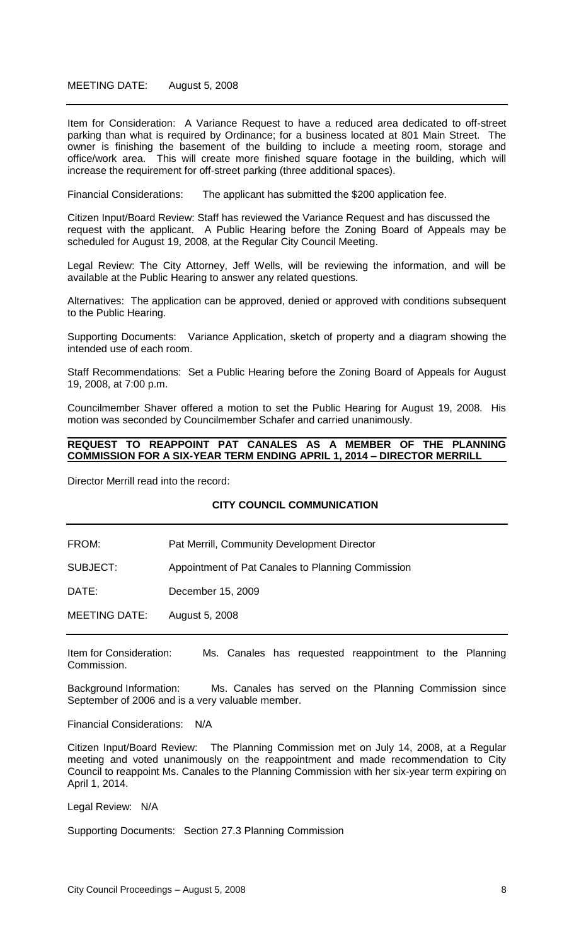Item for Consideration: A Variance Request to have a reduced area dedicated to off-street parking than what is required by Ordinance; for a business located at 801 Main Street. The owner is finishing the basement of the building to include a meeting room, storage and office/work area. This will create more finished square footage in the building, which will increase the requirement for off-street parking (three additional spaces).

Financial Considerations: The applicant has submitted the \$200 application fee.

Citizen Input/Board Review: Staff has reviewed the Variance Request and has discussed the request with the applicant. A Public Hearing before the Zoning Board of Appeals may be scheduled for August 19, 2008, at the Regular City Council Meeting.

Legal Review: The City Attorney, Jeff Wells, will be reviewing the information, and will be available at the Public Hearing to answer any related questions.

Alternatives: The application can be approved, denied or approved with conditions subsequent to the Public Hearing.

Supporting Documents: Variance Application, sketch of property and a diagram showing the intended use of each room.

Staff Recommendations: Set a Public Hearing before the Zoning Board of Appeals for August 19, 2008, at 7:00 p.m.

Councilmember Shaver offered a motion to set the Public Hearing for August 19, 2008. His motion was seconded by Councilmember Schafer and carried unanimously.

### **REQUEST TO REAPPOINT PAT CANALES AS A MEMBER OF THE PLANNING COMMISSION FOR A SIX-YEAR TERM ENDING APRIL 1, 2014 – DIRECTOR MERRILL**

Director Merrill read into the record:

### **CITY COUNCIL COMMUNICATION**

FROM: Pat Merrill, Community Development Director

SUBJECT: Appointment of Pat Canales to Planning Commission

DATE: December 15, 2009

MEETING DATE: August 5, 2008

Item for Consideration: Ms. Canales has requested reappointment to the Planning Commission.

Background Information: Ms. Canales has served on the Planning Commission since September of 2006 and is a very valuable member.

Financial Considerations: N/A

Citizen Input/Board Review: The Planning Commission met on July 14, 2008, at a Regular meeting and voted unanimously on the reappointment and made recommendation to City Council to reappoint Ms. Canales to the Planning Commission with her six-year term expiring on April 1, 2014.

Legal Review: N/A

Supporting Documents: Section 27.3 Planning Commission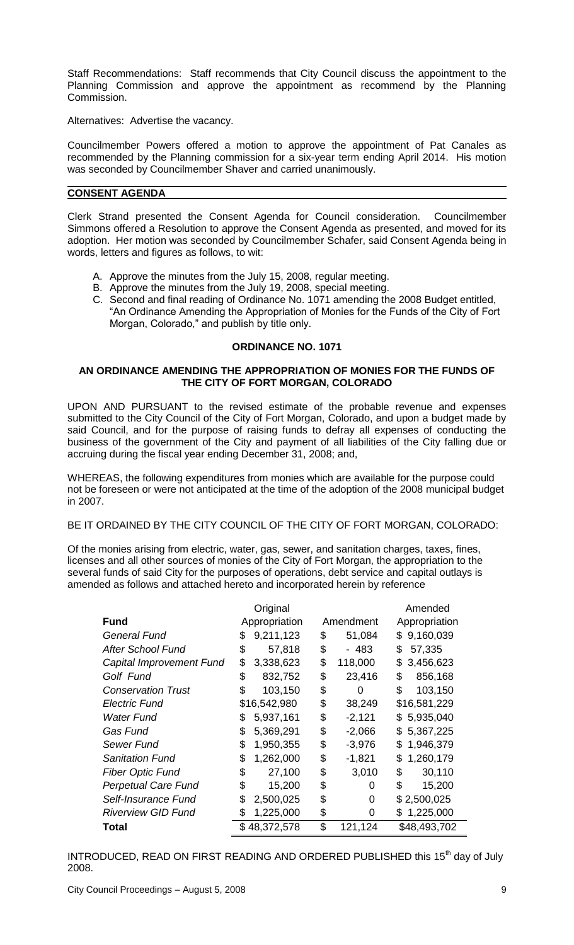Staff Recommendations: Staff recommends that City Council discuss the appointment to the Planning Commission and approve the appointment as recommend by the Planning Commission.

Alternatives: Advertise the vacancy.

Councilmember Powers offered a motion to approve the appointment of Pat Canales as recommended by the Planning commission for a six-year term ending April 2014. His motion was seconded by Councilmember Shaver and carried unanimously.

## **CONSENT AGENDA**

Clerk Strand presented the Consent Agenda for Council consideration. Councilmember Simmons offered a Resolution to approve the Consent Agenda as presented, and moved for its adoption. Her motion was seconded by Councilmember Schafer, said Consent Agenda being in words, letters and figures as follows, to wit:

- A. Approve the minutes from the July 15, 2008, regular meeting.
- B. Approve the minutes from the July 19, 2008, special meeting.
- C. Second and final reading of Ordinance No. 1071 amending the 2008 Budget entitled, "An Ordinance Amending the Appropriation of Monies for the Funds of the City of Fort Morgan, Colorado," and publish by title only.

## **ORDINANCE NO. 1071**

## **AN ORDINANCE AMENDING THE APPROPRIATION OF MONIES FOR THE FUNDS OF THE CITY OF FORT MORGAN, COLORADO**

UPON AND PURSUANT to the revised estimate of the probable revenue and expenses submitted to the City Council of the City of Fort Morgan, Colorado, and upon a budget made by said Council, and for the purpose of raising funds to defray all expenses of conducting the business of the government of the City and payment of all liabilities of the City falling due or accruing during the fiscal year ending December 31, 2008; and,

WHEREAS, the following expenditures from monies which are available for the purpose could not be foreseen or were not anticipated at the time of the adoption of the 2008 municipal budget in 2007.

# BE IT ORDAINED BY THE CITY COUNCIL OF THE CITY OF FORT MORGAN, COLORADO:

Of the monies arising from electric, water, gas, sewer, and sanitation charges, taxes, fines, licenses and all other sources of monies of the City of Fort Morgan, the appropriation to the several funds of said City for the purposes of operations, debt service and capital outlays is amended as follows and attached hereto and incorporated herein by reference

|                            | Original |               |    | Amended   |                 |
|----------------------------|----------|---------------|----|-----------|-----------------|
| <b>Fund</b>                |          | Appropriation |    | Amendment | Appropriation   |
| <b>General Fund</b>        | \$       | 9,211,123     | \$ | 51,084    | 9,160,039<br>\$ |
| <b>After School Fund</b>   | \$       | 57,818        | \$ | - 483     | \$<br>57,335    |
| Capital Improvement Fund   | \$       | 3,338,623     | \$ | 118,000   | 3,456,623<br>\$ |
| Golf Fund                  | \$       | 832,752       | \$ | 23,416    | \$<br>856,168   |
| <b>Conservation Trust</b>  | \$       | 103,150       | \$ | O         | \$<br>103,150   |
| Electric Fund              |          | \$16,542,980  | \$ | 38,249    | \$16,581,229    |
| <b>Water Fund</b>          | S        | 5,937,161     | \$ | $-2,121$  | 5,935,040<br>\$ |
| Gas Fund                   | \$       | 5,369,291     | \$ | $-2,066$  | 5,367,225<br>S  |
| Sewer Fund                 | \$       | 1,950,355     | \$ | $-3,976$  | 1,946,379<br>S  |
| <b>Sanitation Fund</b>     | \$       | 1,262,000     | \$ | $-1,821$  | \$<br>1,260,179 |
| <b>Fiber Optic Fund</b>    | \$       | 27,100        | \$ | 3,010     | \$<br>30,110    |
| <b>Perpetual Care Fund</b> | \$       | 15,200        | \$ | O         | \$<br>15,200    |
| Self-Insurance Fund        | \$       | 2,500,025     | \$ | 0         | \$2,500,025     |
| <b>Riverview GID Fund</b>  | \$       | 1,225,000     | \$ | 0         | 1,225,000<br>\$ |
| Total                      |          | \$48,372,578  | \$ | 121,124   | \$48,493,702    |

INTRODUCED, READ ON FIRST READING AND ORDERED PUBLISHED this 15<sup>th</sup> day of July 2008.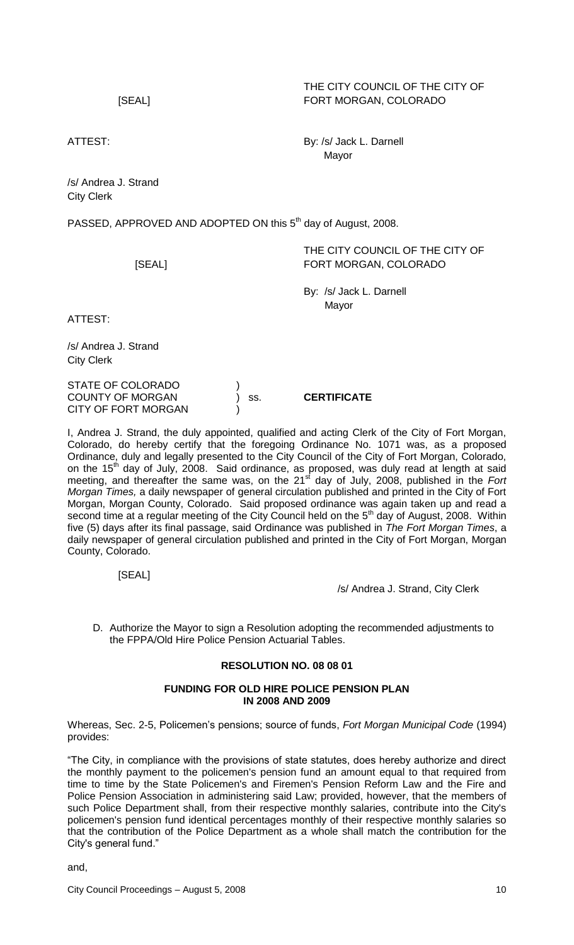# THE CITY COUNCIL OF THE CITY OF [SEAL] FORT MORGAN, COLORADO

ATTEST: By: /s/ Jack L. Darnell Mayor

/s/ Andrea J. Strand City Clerk

PASSED, APPROVED AND ADOPTED ON this 5<sup>th</sup> day of August, 2008.

THE CITY COUNCIL OF THE CITY OF [SEAL] FORT MORGAN, COLORADO

> By: /s/ Jack L. Darnell Mayor

ATTEST:

/s/ Andrea J. Strand City Clerk

STATE OF COLORADO ) COUNTY OF MORGAN ) ss. **CERTIFICATE** CITY OF FORT MORGAN

I, Andrea J. Strand, the duly appointed, qualified and acting Clerk of the City of Fort Morgan, Colorado, do hereby certify that the foregoing Ordinance No. 1071 was, as a proposed Ordinance, duly and legally presented to the City Council of the City of Fort Morgan, Colorado, on the 15<sup>th</sup> day of July, 2008. Said ordinance, as proposed, was duly read at length at said meeting, and thereafter the same was, on the 21<sup>st</sup> day of July, 2008, published in the *Fort Morgan Times,* a daily newspaper of general circulation published and printed in the City of Fort Morgan, Morgan County, Colorado. Said proposed ordinance was again taken up and read a second time at a regular meeting of the City Council held on the 5<sup>th</sup> day of August, 2008. Within five (5) days after its final passage, said Ordinance was published in *The Fort Morgan Times*, a daily newspaper of general circulation published and printed in the City of Fort Morgan, Morgan County, Colorado.

[SEAL]

/s/ Andrea J. Strand, City Clerk

D. Authorize the Mayor to sign a Resolution adopting the recommended adjustments to the FPPA/Old Hire Police Pension Actuarial Tables.

# **RESOLUTION NO. 08 08 01**

### **FUNDING FOR OLD HIRE POLICE PENSION PLAN IN 2008 AND 2009**

Whereas, Sec. 2-5, Policemen's pensions; source of funds, *Fort Morgan Municipal Code* (1994) provides:

"The City, in compliance with the provisions of state statutes, does hereby authorize and direct the monthly payment to the policemen's pension fund an amount equal to that required from time to time by the State Policemen's and Firemen's Pension Reform Law and the Fire and Police Pension Association in administering said Law; provided, however, that the members of such Police Department shall, from their respective monthly salaries, contribute into the City's policemen's pension fund identical percentages monthly of their respective monthly salaries so that the contribution of the Police Department as a whole shall match the contribution for the City's general fund."

and,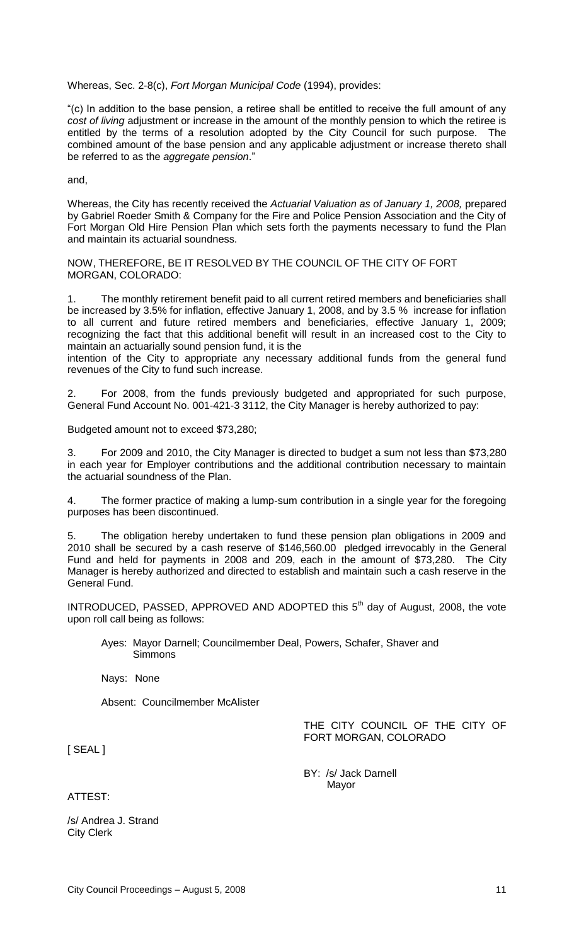Whereas, Sec. 2-8(c), *Fort Morgan Municipal Code* (1994), provides:

"(c) In addition to the base pension, a retiree shall be entitled to receive the full amount of any *cost of living* adjustment or increase in the amount of the monthly pension to which the retiree is entitled by the terms of a resolution adopted by the City Council for such purpose. The combined amount of the base pension and any applicable adjustment or increase thereto shall be referred to as the *aggregate pension*."

and,

Whereas, the City has recently received the *Actuarial Valuation as of January 1, 2008,* prepared by Gabriel Roeder Smith & Company for the Fire and Police Pension Association and the City of Fort Morgan Old Hire Pension Plan which sets forth the payments necessary to fund the Plan and maintain its actuarial soundness.

NOW, THEREFORE, BE IT RESOLVED BY THE COUNCIL OF THE CITY OF FORT MORGAN, COLORADO:

1. The monthly retirement benefit paid to all current retired members and beneficiaries shall be increased by 3.5% for inflation, effective January 1, 2008, and by 3.5 % increase for inflation to all current and future retired members and beneficiaries, effective January 1, 2009; recognizing the fact that this additional benefit will result in an increased cost to the City to maintain an actuarially sound pension fund, it is the

intention of the City to appropriate any necessary additional funds from the general fund revenues of the City to fund such increase.

2. For 2008, from the funds previously budgeted and appropriated for such purpose, General Fund Account No. 001-421-3 3112, the City Manager is hereby authorized to pay:

Budgeted amount not to exceed \$73,280;

3. For 2009 and 2010, the City Manager is directed to budget a sum not less than \$73,280 in each year for Employer contributions and the additional contribution necessary to maintain the actuarial soundness of the Plan.

4. The former practice of making a lump-sum contribution in a single year for the foregoing purposes has been discontinued.

5. The obligation hereby undertaken to fund these pension plan obligations in 2009 and 2010 shall be secured by a cash reserve of \$146,560.00 pledged irrevocably in the General Fund and held for payments in 2008 and 209, each in the amount of \$73,280. The City Manager is hereby authorized and directed to establish and maintain such a cash reserve in the General Fund.

INTRODUCED, PASSED, APPROVED AND ADOPTED this  $5<sup>th</sup>$  day of August, 2008, the vote upon roll call being as follows:

Ayes: Mayor Darnell; Councilmember Deal, Powers, Schafer, Shaver and **Simmons** 

Nays: None

Absent: Councilmember McAlister

THE CITY COUNCIL OF THE CITY OF FORT MORGAN, COLORADO

[ SEAL ]

BY: /s/ Jack Darnell Mayor

ATTEST:

/s/ Andrea J. Strand City Clerk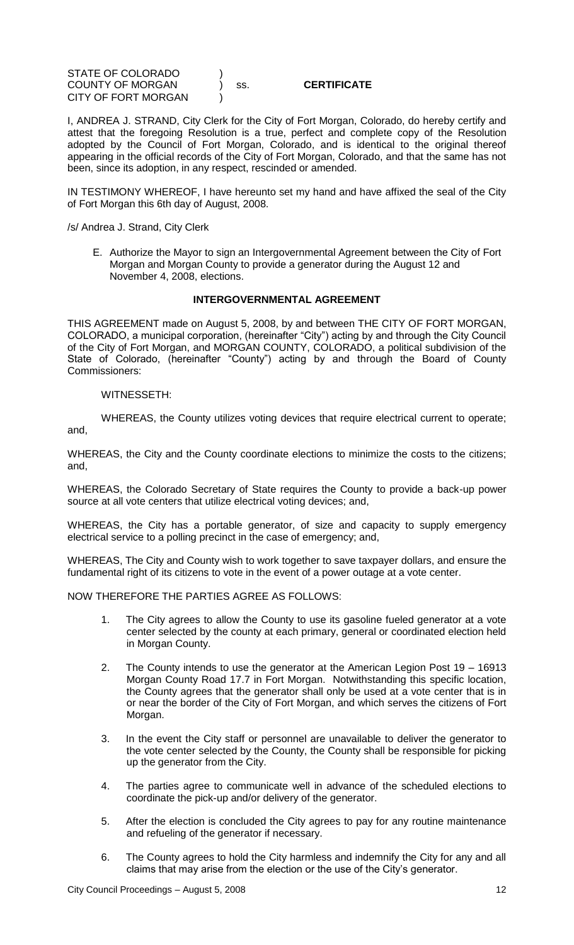STATE OF COLORADO ) COUNTY OF MORGAN ) ss. **CERTIFICATE** CITY OF FORT MORGAN

I, ANDREA J. STRAND, City Clerk for the City of Fort Morgan, Colorado, do hereby certify and attest that the foregoing Resolution is a true, perfect and complete copy of the Resolution adopted by the Council of Fort Morgan, Colorado, and is identical to the original thereof appearing in the official records of the City of Fort Morgan, Colorado, and that the same has not been, since its adoption, in any respect, rescinded or amended.

IN TESTIMONY WHEREOF, I have hereunto set my hand and have affixed the seal of the City of Fort Morgan this 6th day of August, 2008.

/s/ Andrea J. Strand, City Clerk

E. Authorize the Mayor to sign an Intergovernmental Agreement between the City of Fort Morgan and Morgan County to provide a generator during the August 12 and November 4, 2008, elections.

## **INTERGOVERNMENTAL AGREEMENT**

THIS AGREEMENT made on August 5, 2008, by and between THE CITY OF FORT MORGAN, COLORADO, a municipal corporation, (hereinafter "City") acting by and through the City Council of the City of Fort Morgan, and MORGAN COUNTY, COLORADO, a political subdivision of the State of Colorado, (hereinafter "County") acting by and through the Board of County Commissioners:

#### WITNESSETH:

WHEREAS, the County utilizes voting devices that require electrical current to operate; and,

WHEREAS, the City and the County coordinate elections to minimize the costs to the citizens; and,

WHEREAS, the Colorado Secretary of State requires the County to provide a back-up power source at all vote centers that utilize electrical voting devices; and,

WHEREAS, the City has a portable generator, of size and capacity to supply emergency electrical service to a polling precinct in the case of emergency; and,

WHEREAS, The City and County wish to work together to save taxpayer dollars, and ensure the fundamental right of its citizens to vote in the event of a power outage at a vote center.

NOW THEREFORE THE PARTIES AGREE AS FOLLOWS:

- 1. The City agrees to allow the County to use its gasoline fueled generator at a vote center selected by the county at each primary, general or coordinated election held in Morgan County.
- 2. The County intends to use the generator at the American Legion Post 19 16913 Morgan County Road 17.7 in Fort Morgan. Notwithstanding this specific location, the County agrees that the generator shall only be used at a vote center that is in or near the border of the City of Fort Morgan, and which serves the citizens of Fort Morgan.
- 3. In the event the City staff or personnel are unavailable to deliver the generator to the vote center selected by the County, the County shall be responsible for picking up the generator from the City.
- 4. The parties agree to communicate well in advance of the scheduled elections to coordinate the pick-up and/or delivery of the generator.
- 5. After the election is concluded the City agrees to pay for any routine maintenance and refueling of the generator if necessary.
- 6. The County agrees to hold the City harmless and indemnify the City for any and all claims that may arise from the election or the use of the City's generator.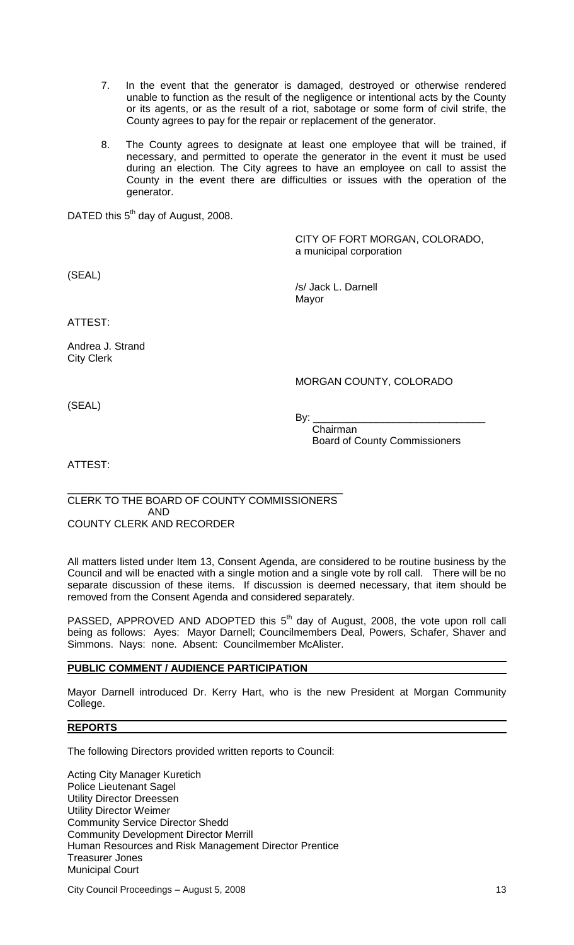- 7. In the event that the generator is damaged, destroyed or otherwise rendered unable to function as the result of the negligence or intentional acts by the County or its agents, or as the result of a riot, sabotage or some form of civil strife, the County agrees to pay for the repair or replacement of the generator.
- 8. The County agrees to designate at least one employee that will be trained, if necessary, and permitted to operate the generator in the event it must be used during an election. The City agrees to have an employee on call to assist the County in the event there are difficulties or issues with the operation of the generator.

DATED this 5<sup>th</sup> day of August, 2008.

CITY OF FORT MORGAN, COLORADO, a municipal corporation

(SEAL)

/s/ Jack L. Darnell Mayor

ATTEST:

Andrea J. Strand City Clerk

## MORGAN COUNTY, COLORADO

(SEAL)

By: \_\_\_\_\_\_\_\_\_\_\_\_\_\_\_\_\_\_\_\_\_\_\_\_\_\_\_\_\_\_

Chairman Board of County Commissioners

ATTEST:

#### \_\_\_\_\_\_\_\_\_\_\_\_\_\_\_\_\_\_\_\_\_\_\_\_\_\_\_\_\_\_\_\_\_\_\_\_\_\_\_\_\_\_\_\_\_\_\_\_ CLERK TO THE BOARD OF COUNTY COMMISSIONERS AND COUNTY CLERK AND RECORDER

All matters listed under Item 13, Consent Agenda, are considered to be routine business by the Council and will be enacted with a single motion and a single vote by roll call. There will be no separate discussion of these items. If discussion is deemed necessary, that item should be removed from the Consent Agenda and considered separately.

PASSED, APPROVED AND ADOPTED this  $5<sup>th</sup>$  day of August, 2008, the vote upon roll call being as follows: Ayes: Mayor Darnell; Councilmembers Deal, Powers, Schafer, Shaver and Simmons. Nays: none. Absent: Councilmember McAlister.

# **PUBLIC COMMENT / AUDIENCE PARTICIPATION**

Mayor Darnell introduced Dr. Kerry Hart, who is the new President at Morgan Community College.

### **REPORTS**

The following Directors provided written reports to Council:

Acting City Manager Kuretich Police Lieutenant Sagel Utility Director Dreessen Utility Director Weimer Community Service Director Shedd Community Development Director Merrill Human Resources and Risk Management Director Prentice Treasurer Jones Municipal Court

City Council Proceedings – August 5, 2008 13